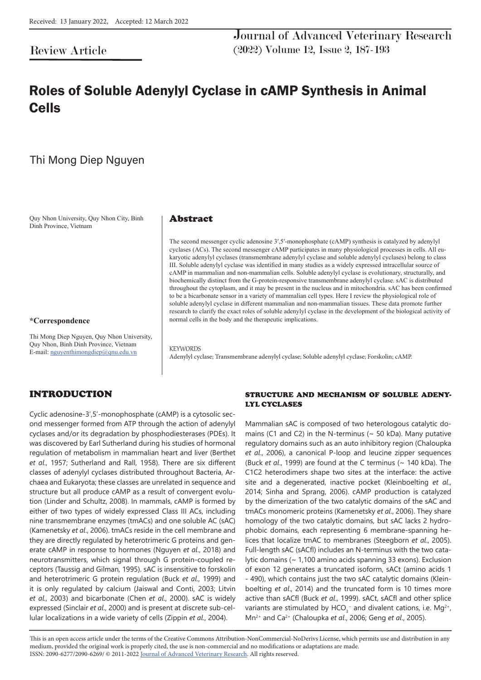## Review Article

Journal of Advanced Veterinary Research (2022) Volume 12, Issue 2, 187-193

# Roles of Soluble Adenylyl Cyclase in cAMP Synthesis in Animal Cells

## Thi Mong Diep Nguyen

Quy Nhon University, Quy Nhon City, Binh Dinh Province, Vietnam

### **\*Correspondence**

Thi Mong Diep Nguyen, Quy Nhon University, Quy Nhon, Binh Dinh Province, Vietnam E-mail: nguyenthimongdiep@qnu.edu.vn

### Abstract

The second messenger cyclic adenosine 3′,5′-monophosphate (cAMP) synthesis is catalyzed by adenylyl cyclases (ACs). The second messenger cAMP participates in many physiological processes in cells. All eukaryotic adenylyl cyclases (transmembrane adenylyl cyclase and soluble adenylyl cyclases) belong to class III. Soluble adenylyl cyclase was identified in many studies as a widely expressed intracellular source of cAMP in mammalian and non-mammalian cells. Soluble adenylyl cyclase is evolutionary, structurally, and biochemically distinct from the G-protein-responsive transmembrane adenylyl cyclase. sAC is distributed throughout the cytoplasm, and it may be present in the nucleus and in mitochondria. sAC has been confirmed to be a bicarbonate sensor in a variety of mammalian cell types. Here I review the physiological role of soluble adenylyl cyclase in different mammalian and non-mammalian tissues. These data promote further research to clarify the exact roles of soluble adenylyl cyclase in the development of the biological activity of normal cells in the body and the therapeutic implications.

**KEYWORDS** Adenylyl cyclase; Transmembrane adenylyl cyclase; Soluble adenylyl cyclase; Forskolin; cAMP.

## INTRODUCTION

Cyclic adenosine-3',5'-monophosphate (cAMP) is a cytosolic second messenger formed from ATP through the action of adenylyl cyclases and/or its degradation by phosphodiesterases (PDEs). It was discovered by Earl Sutherland during his studies of hormonal regulation of metabolism in mammalian heart and liver (Berthet *et al*., 1957; Sutherland and Rall, 1958). There are six different classes of adenylyl cyclases distributed throughout Bacteria, Archaea and Eukaryota; these classes are unrelated in sequence and structure but all produce cAMP as a result of convergent evolution (Linder and Schultz, 2008). In mammals, cAMP is formed by either of two types of widely expressed Class III ACs, including nine transmembrane enzymes (tmACs) and one soluble AC (sAC) (Kamenetsky *et al*., 2006). tmACs reside in the cell membrane and they are directly regulated by heterotrimeric G proteins and generate cAMP in response to hormones (Nguyen *et al*., 2018) and neurotransmitters, which signal through G protein-coupled receptors (Taussig and Gilman, 1995). sAC is insensitive to forskolin and heterotrimeric G protein regulation (Buck *et al*., 1999) and it is only regulated by calcium (Jaiswal and Conti, 2003; Litvin *et al*., 2003) and bicarbonate (Chen *et al*., 2000). sAC is widely expressed (Sinclair *et al*., 2000) and is present at discrete sub-cellular localizations in a wide variety of cells (Zippin *et al*., 2004).

## STRUCTURE AND MECHANISM OF SOLUBLE ADENY-LYL CYCLASES

Mammalian sAC is composed of two heterologous catalytic domains (C1 and C2) in the N-terminus ( $\sim$  50 kDa). Many putative regulatory domains such as an auto inhibitory region (Chaloupka *et al*., 2006), a canonical P-loop and leucine zipper sequences (Buck *et al*., 1999) are found at the C terminus (~ 140 kDa). The C1C2 heterodimers shape two sites at the interface: the active site and a degenerated, inactive pocket (Kleinboelting *et al*., 2014; Sinha and Sprang, 2006). cAMP production is catalyzed by the dimerization of the two catalytic domains of the sAC and tmACs monomeric proteins (Kamenetsky *et al*., 2006). They share homology of the two catalytic domains, but sAC lacks 2 hydrophobic domains, each representing 6 membrane-spanning helices that localize tmAC to membranes (Steegborn *et al*., 2005). Full-length sAC (sACfl) includes an N-terminus with the two catalytic domains (~ 1,100 amino acids spanning 33 exons). Exclusion of exon 12 generates a truncated isoform, sACt (amino acids 1 - 490), which contains just the two sAC catalytic domains (Kleinboelting *et al*., 2014) and the truncated form is 10 times more active than sACfl (Buck *et al*., 1999). sACt, sACfl and other splice variants are stimulated by  $HCO_3^-$  and divalent cations, i.e.  $Mg^{2+}$ , Mn2+ and Ca2+ (Chaloupka *et al*., 2006; Geng *et al*., 2005).

This is an open access article under the terms of the Creative Commons Attribution-NonCommercial-NoDerivs License, which permits use and distribution in any medium, provided the original work is properly cited, the use is non-commercial and no modifications or adaptations are made. ISSN: 2090-6277/2090-6269/ © 2011-2022 Journal of Advanced Veterinary Research. All rights reserved.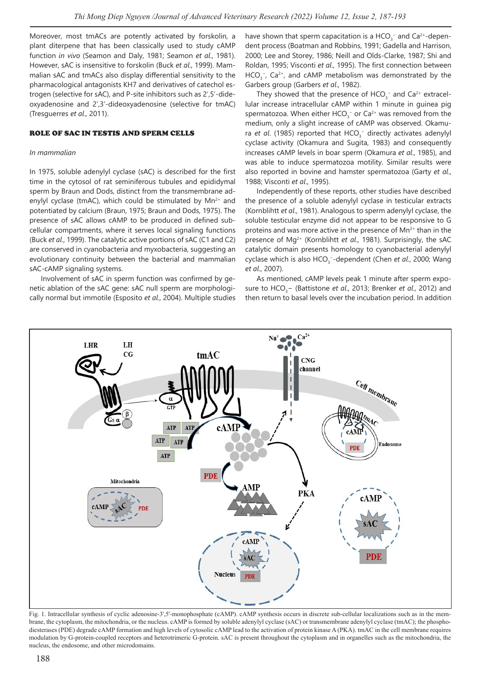Moreover, most tmACs are potently activated by forskolin, a plant diterpene that has been classically used to study cAMP function *in vivo* (Seamon and Daly, 1981; Seamon *et al*., 1981). However, sAC is insensitive to forskolin (Buck *et al*., 1999). Mammalian sAC and tmACs also display differential sensitivity to the pharmacological antagonists KH7 and derivatives of catechol estrogen (selective for sAC), and P-site inhibitors such as 2′,5′-dideoxyadenosine and 2',3'-dideoxyadenosine (selective for tmAC) (Tresguerres *et al*., 2011).

### ROLE OF SAC IN TESTIS AND SPERM CELLS

#### *In mammalian*

In 1975, soluble adenylyl cyclase (sAC) is described for the first time in the cytosol of rat seminiferous tubules and epididymal sperm by Braun and Dods, distinct from the transmembrane adenylyl cyclase (tmAC), which could be stimulated by  $Mn^{2+}$  and potentiated by calcium (Braun, 1975; Braun and Dods, 1975). The presence of sAC allows cAMP to be produced in defined subcellular compartments, where it serves local signaling functions (Buck *et al*., 1999). The catalytic active portions of sAC (C1 and C2) are conserved in cyanobacteria and myxobacteria, suggesting an evolutionary continuity between the bacterial and mammalian sAC-cAMP signaling systems.

Involvement of sAC in sperm function was confirmed by genetic ablation of the sAC gene: sAC null sperm are morphologically normal but immotile (Esposito *et al*., 2004). Multiple studies have shown that sperm capacitation is a  $HCO_3^-$  and  $Ca^{2+}$ -dependent process (Boatman and Robbins, 1991; Gadella and Harrison, 2000; Lee and Storey, 1986; Neill and Olds-Clarke, 1987; Shi and Roldan, 1995; Visconti *et al*., 1995). The first connection between  $HCO<sub>3</sub>^-$ , Ca<sup>2+</sup>, and cAMP metabolism was demonstrated by the Garbers group (Garbers *et al*., 1982).

They showed that the presence of  $HCO<sub>3</sub><sup>-</sup>$  and  $Ca<sup>2+</sup>$  extracellular increase intracellular cAMP within 1 minute in guinea pig spermatozoa. When either  $HCO_3^-$  or  $Ca^{2+}$  was removed from the medium, only a slight increase of cAMP was observed. Okamura et al. (1985) reported that HCO<sub>3</sub><sup>-</sup> directly activates adenylyl cyclase activity (Okamura and Sugita, 1983) and consequently increases cAMP levels in boar sperm (Okamura *et al*., 1985), and was able to induce spermatozoa motility. Similar results were also reported in bovine and hamster spermatozoa (Garty *et al*., 1988; Visconti *et al*., 1995).

Independently of these reports, other studies have described the presence of a soluble adenylyl cyclase in testicular extracts (Kornblihtt *et al*., 1981). Analogous to sperm adenylyl cyclase, the soluble testicular enzyme did not appear to be responsive to G proteins and was more active in the presence of  $Mn^{2+}$  than in the presence of Mg2+ (Kornblihtt *et al*., 1981). Surprisingly, the sAC catalytic domain presents homology to cyanobacterial adenylyl cyclase which is also HCO<sub>3</sub><sup>-</sup>-dependent (Chen *et al.*, 2000; Wang *et al*., 2007).

As mentioned, cAMP levels peak 1 minute after sperm exposure to HCO<sub>3</sub>− (Battistone *et al.*, 2013; Brenker *et al.*, 2012) and then return to basal levels over the incubation period. In addition



Fig. 1. Intracellular synthesis of cyclic adenosine-3',5'-monophosphate (cAMP). cAMP synthesis occurs in discrete sub-cellular localizations such as in the membrane, the cytoplasm, the mitochondria, or the nucleus. cAMP is formed by soluble adenylyl cyclase (sAC) or transmembrane adenylyl cyclase (tmAC); the phosphodiesterases (PDE) degrade cAMP formation and high levels of cytosolic cAMP lead to the activation of protein kinase A (PKA). tmAC in the cell membrane requires modulation by G-protein-coupled receptors and heterotrimeric G-protein. sAC is present throughout the cytoplasm and in organelles such as the mitochondria, the nucleus, the endosome, and other microdomains.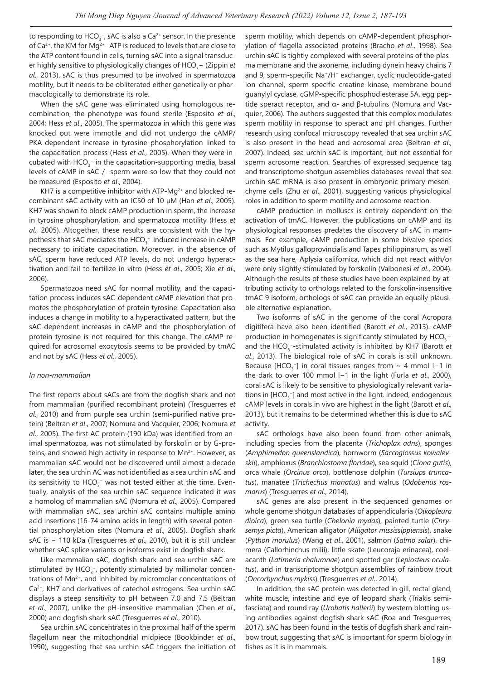to responding to HCO $_3^-$ , sAC is also a Ca $^{2+}$  sensor. In the presence of Ca<sup>2+</sup>, the KM for Mg<sup>2+</sup> -ATP is reduced to levels that are close to the ATP content found in cells, turning sAC into a signal transducer highly sensitive to physiologically changes of HCO<sub>3</sub>− (Zippin *et al*., 2013). sAC is thus presumed to be involved in spermatozoa motility, but it needs to be obliterated either genetically or pharmacologically to demonstrate its role.

When the sAC gene was eliminated using homologous recombination, the phenotype was found sterile (Esposito *et al*., 2004; Hess *et al*., 2005). The spermatozoa in which this gene was knocked out were immotile and did not undergo the cAMP/ PKA-dependent increase in tyrosine phosphorylation linked to the capacitation process (Hess *et al*., 2005). When they were incubated with  $HCO_3^-$  in the capacitation-supporting media, basal levels of cAMP in sAC-/- sperm were so low that they could not be measured (Esposito *et al*., 2004).

KH7 is a competitive inhibitor with ATP-M $q^{2+}$  and blocked recombinant sAC activity with an IC50 of 10 µM (Han *et al*., 2005). KH7 was shown to block cAMP production in sperm, the increase in tyrosine phosphorylation, and spermatozoa motility (Hess *et al*., 2005). Altogether, these results are consistent with the hypothesis that sAC mediates the  $HCO_3^-$ -induced increase in cAMP necessary to initiate capacitation. Moreover, in the absence of sAC, sperm have reduced ATP levels, do not undergo hyperactivation and fail to fertilize in vitro (Hess *et al*., 2005; Xie *et al*., 2006).

Spermatozoa need sAC for normal motility, and the capacitation process induces sAC-dependent cAMP elevation that promotes the phosphorylation of protein tyrosine. Capacitation also induces a change in motility to a hyperactivated pattern, but the sAC-dependent increases in cAMP and the phosphorylation of protein tyrosine is not required for this change. The cAMP required for acrosomal exocytosis seems to be provided by tmAC and not by sAC (Hess *et al*., 2005).

### *In non-mammalian*

The first reports about sACs are from the dogfish shark and not from mammalian (purified recombinant protein) (Tresguerres *et al*., 2010) and from purple sea urchin (semi-purified native protein) (Beltran *et al*., 2007; Nomura and Vacquier, 2006; Nomura *et al*., 2005). The first AC protein (190 kDa) was identified from animal spermatozoa, was not stimulated by forskolin or by G-proteins, and showed high activity in response to  $Mn^{2+}$ . However, as mammalian sAC would not be discovered until almost a decade later, the sea urchin AC was not identified as a sea urchin sAC and its sensitivity to  $HCO_3^-$  was not tested either at the time. Eventually, analysis of the sea urchin sAC sequence indicated it was a homolog of mammalian sAC (Nomura *et al*., 2005). Compared with mammalian sAC, sea urchin sAC contains multiple amino acid insertions (16-74 amino acids in length) with several potential phosphorylation sites (Nomura *et al*., 2005). Dogfish shark sAC is ~ 110 kDa (Tresguerres *et al*., 2010), but it is still unclear whether sAC splice variants or isoforms exist in dogfish shark.

Like mammalian sAC, dogfish shark and sea urchin sAC are stimulated by  $HCO_{3}^-$ , potently stimulated by millimolar concentrations of  $Mn^{2+}$ , and inhibited by micromolar concentrations of Ca2+, KH7 and derivatives of catechol estrogens. Sea urchin sAC displays a steep sensitivity to pH between 7.0 and 7.5 (Beltran *et al*., 2007), unlike the pH-insensitive mammalian (Chen *et al*., 2000) and dogfish shark sAC (Tresguerres *et al*., 2010).

Sea urchin sAC concentrates in the proximal half of the sperm flagellum near the mitochondrial midpiece (Bookbinder *et al*., 1990), suggesting that sea urchin sAC triggers the initiation of sperm motility, which depends on cAMP-dependent phosphorylation of flagella-associated proteins (Bracho *et al*., 1998). Sea urchin sAC is tightly complexed with several proteins of the plasma membrane and the axoneme, including dynein heavy chains 7 and 9, sperm-specific Na<sup>+</sup>/H<sup>+</sup> exchanger, cyclic nucleotide-gated ion channel, sperm-specific creatine kinase, membrane-bound guanylyl cyclase, cGMP-specific phosphodiesterase 5A, egg peptide speract receptor, and α- and β-tubulins (Nomura and Vacquier, 2006). The authors suggested that this complex modulates sperm motility in response to speract and pH changes. Further research using confocal microscopy revealed that sea urchin sAC is also present in the head and acrosomal area (Beltran *et al*., 2007). Indeed, sea urchin sAC is important, but not essential for sperm acrosome reaction. Searches of expressed sequence tag and transcriptome shotgun assemblies databases reveal that sea urchin sAC mRNA is also present in embryonic primary mesenchyme cells (Zhu *et al*., 2001), suggesting various physiological roles in addition to sperm motility and acrosome reaction.

cAMP production in molluscs is entirely dependent on the activation of tmAC. However, the publications on cAMP and its physiological responses predates the discovery of sAC in mammals. For example, cAMP production in some bivalve species such as Mytilus galloprovincialis and Tapes philippinarum, as well as the sea hare, Aplysia californica, which did not react with/or were only slightly stimulated by forskolin (Valbonesi *et al*., 2004). Although the results of these studies have been explained by attributing activity to orthologs related to the forskolin-insensitive tmAC 9 isoform, orthologs of sAC can provide an equally plausible alternative explanation.

Two isoforms of sAC in the genome of the coral Acropora digitifera have also been identified (Barott *et al*., 2013). cAMP production in homogenates is significantly stimulated by  $\mathsf{HCO}_{3}^$ and the HCO<sub>3</sub><sup>-</sup>-stimulated activity is inhibited by KH7 (Barott *et al*., 2013). The biological role of sAC in corals is still unknown. Because [HCO<sub>3</sub><sup>-</sup>] in coral tissues ranges from  $\sim$  4 mmol l−1 in the dark to over 100 mmol l−1 in the light (Furla *et al*., 2000), coral sAC is likely to be sensitive to physiologically relevant variations in [HCO $_{\tiny 3}^-$ ] and most active in the light. Indeed, endogenous cAMP levels in corals in vivo are highest in the light (Barott *et al*., 2013), but it remains to be determined whether this is due to sAC activity.

sAC orthologs have also been found from other animals, including species from the placenta (*Trichoplax adns*), sponges (*Amphimedon queenslandica*), hornworm (*Saccoglossus kowalevskii*), amphioxus (*Branchiostoma floridae*), sea squid (*Ciona gutis*), orca whale (*Orcinus orca*), bottlenose dolphin (*Tursiups truncatus*), manatee (*Trichechus manatus*) and walrus (*Odobenus rosmarus*) (Tresguerres *et al*., 2014).

sAC genes are also present in the sequenced genomes or whole genome shotgun databases of appendicularia (*Oikopleura dioica*), green sea turtle (*Chelonia mydas*), painted turtle (*Chrysemys picta*), American alligator (*Alligator mississippiensis*), snake (*Python morulus*) (Wang *et al*., 2001), salmon (*Salmo salar*), chimera (Callorhinchus milii), little skate (Leucoraja erinacea), coelacanth (*Latimeria chalumnae*) and spotted gar (*Lepiosteus oculatus*), and in transcriptome shotgun assemblies of rainbow trout (*Oncorhynchus mykiss*) (Tresguerres *et al*., 2014).

In addition, the sAC protein was detected in gill, rectal gland, white muscle, intestine and eye of leopard shark (Triakis semifasciata) and round ray (*Urobatis hallerii*) by western blotting using antibodies against dogfish shark sAC (Roa and Tresguerres, 2017). sAC has been found in the testis of dogfish shark and rainbow trout, suggesting that sAC is important for sperm biology in fishes as it is in mammals.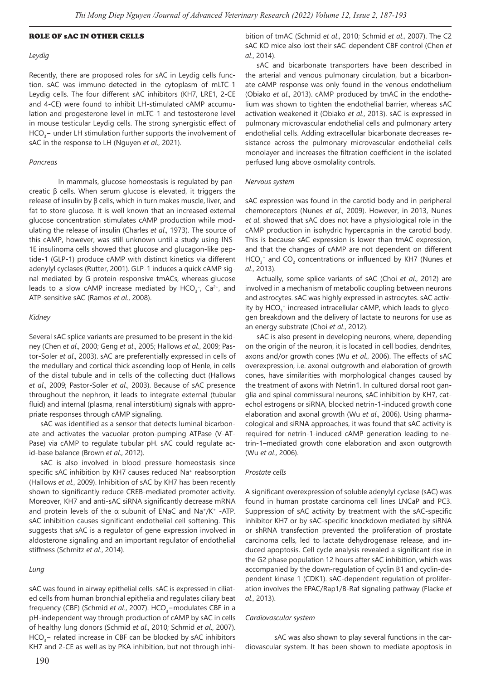#### ROLE OF sAC IN OTHER CELLS

#### *Leydig*

Recently, there are proposed roles for sAC in Leydig cells function. sAC was immuno-detected in the cytoplasm of mLTC-1 Leydig cells. The four different sAC inhibitors (KH7, LRE1, 2-CE and 4-CE) were found to inhibit LH-stimulated cAMP accumulation and progesterone level in mLTC-1 and testosterone level in mouse testicular Leydig cells. The strong synergistic effect of  $HCO<sub>3</sub>$  – under LH stimulation further supports the involvement of sAC in the response to LH (Nguyen *et al*., 2021).

#### *Pancreas*

In mammals, glucose homeostasis is regulated by pancreatic β cells. When serum glucose is elevated, it triggers the release of insulin by β cells, which in turn makes muscle, liver, and fat to store glucose. It is well known that an increased external glucose concentration stimulates cAMP production while modulating the release of insulin (Charles *et al*., 1973). The source of this cAMP, however, was still unknown until a study using INS-1E insulinoma cells showed that glucose and glucagon-like peptide-1 (GLP-1) produce cAMP with distinct kinetics via different adenylyl cyclases (Rutter, 2001). GLP-1 induces a quick cAMP signal mediated by G protein-responsive tmACs, whereas glucose leads to a slow cAMP increase mediated by  $HCO<sub>3</sub><sup>-</sup>$ , Ca<sup>2+</sup>, and ATP-sensitive sAC (Ramos *et al*., 2008).

#### *Kidney*

Several sAC splice variants are presumed to be present in the kidney (Chen *et al*., 2000; Geng *et al*., 2005; Hallows *et al*., 2009; Pastor-Soler *et al*., 2003). sAC are preferentially expressed in cells of the medullary and cortical thick ascending loop of Henle, in cells of the distal tubule and in cells of the collecting duct (Hallows *et al*., 2009; Pastor-Soler *et al*., 2003). Because of sAC presence throughout the nephron, it leads to integrate external (tubular fluid) and internal (plasma, renal interstitium) signals with appropriate responses through cAMP signaling.

sAC was identified as a sensor that detects luminal bicarbonate and activates the vacuolar proton-pumping ATPase (V-AT-Pase) via cAMP to regulate tubular pH. sAC could regulate acid-base balance (Brown *et al*., 2012).

sAC is also involved in blood pressure homeostasis since specific sAC inhibition by KH7 causes reduced Na<sup>+</sup> reabsorption (Hallows *et al*., 2009). Inhibition of sAC by KH7 has been recently shown to significantly reduce CREB-mediated promoter activity. Moreover, KH7 and anti-sAC siRNA significantly decrease mRNA and protein levels of the  $\alpha$  subunit of ENaC and Na<sup>+</sup>/K<sup>+</sup> -ATP. sAC inhibition causes significant endothelial cell softening. This suggests that sAC is a regulator of gene expression involved in aldosterone signaling and an important regulator of endothelial stiffness (Schmitz *et al*., 2014).

### *Lung*

sAC was found in airway epithelial cells. sAC is expressed in ciliated cells from human bronchial epithelia and regulates ciliary beat frequency (CBF) (Schmid *et al.*, 2007). HCO<sub>3</sub>-modulates CBF in a pH-independent way through production of cAMP by sAC in cells of healthy lung donors (Schmid *et al*., 2010; Schmid *et al*., 2007).  $HCO<sub>3</sub>$  - related increase in CBF can be blocked by sAC inhibitors KH7 and 2-CE as well as by PKA inhibition, but not through inhibition of tmAC (Schmid *et al*., 2010; Schmid *et al*., 2007). The C2 sAC KO mice also lost their sAC-dependent CBF control (Chen *et al*., 2014).

sAC and bicarbonate transporters have been described in the arterial and venous pulmonary circulation, but a bicarbonate cAMP response was only found in the venous endothelium (Obiako *et al*., 2013). cAMP produced by tmAC in the endothelium was shown to tighten the endothelial barrier, whereas sAC activation weakened it (Obiako *et al*., 2013). sAC is expressed in pulmonary microvascular endothelial cells and pulmonary artery endothelial cells. Adding extracellular bicarbonate decreases resistance across the pulmonary microvascular endothelial cells monolayer and increases the filtration coefficient in the isolated perfused lung above osmolality controls.

#### *Nervous system*

sAC expression was found in the carotid body and in peripheral chemoreceptors (Nunes *et al*., 2009). However, in 2013, Nunes *et al*. showed that sAC does not have a physiological role in the cAMP production in isohydric hypercapnia in the carotid body. This is because sAC expression is lower than tmAC expression, and that the changes of cAMP are not dependent on different HCO<sub>3</sub><sup>-</sup> and CO<sub>2</sub> concentrations or influenced by KH7 (Nunes *et al*., 2013).

Actually, some splice variants of sAC (Choi *et al*., 2012) are involved in a mechanism of metabolic coupling between neurons and astrocytes. sAC was highly expressed in astrocytes. sAC activity by  $\mathsf{HCO}_3^-$  increased intracellular cAMP, which leads to glycogen breakdown and the delivery of lactate to neurons for use as an energy substrate (Choi *et al*., 2012).

sAC is also present in developing neurons, where, depending on the origin of the neuron, it is located in cell bodies, dendrites, axons and/or growth cones (Wu *et al*., 2006). The effects of sAC overexpression, i.e. axonal outgrowth and elaboration of growth cones, have similarities with morphological changes caused by the treatment of axons with Netrin1. In cultured dorsal root ganglia and spinal commissural neurons, sAC inhibition by KH7, catechol estrogens or siRNA, blocked netrin-1-induced growth cone elaboration and axonal growth (Wu *et al*., 2006). Using pharmacological and siRNA approaches, it was found that sAC activity is required for netrin-1-induced cAMP generation leading to netrin-1–mediated growth cone elaboration and axon outgrowth (Wu *et al*., 2006).

#### *Prostate cells*

A significant overexpression of soluble adenylyl cyclase (sAC) was found in human prostate carcinoma cell lines LNCaP and PC3. Suppression of sAC activity by treatment with the sAC-specific inhibitor KH7 or by sAC-specific knockdown mediated by siRNA or shRNA transfection prevented the proliferation of prostate carcinoma cells, led to lactate dehydrogenase release, and induced apoptosis. Cell cycle analysis revealed a significant rise in the G2 phase population 12 hours after sAC inhibition, which was accompanied by the down-regulation of cyclin B1 and cyclin-dependent kinase 1 (CDK1). sAC-dependent regulation of proliferation involves the EPAC/Rap1/B-Raf signaling pathway (Flacke *et al*., 2013).

#### *Cardiovascular system*

sAC was also shown to play several functions in the cardiovascular system. It has been shown to mediate apoptosis in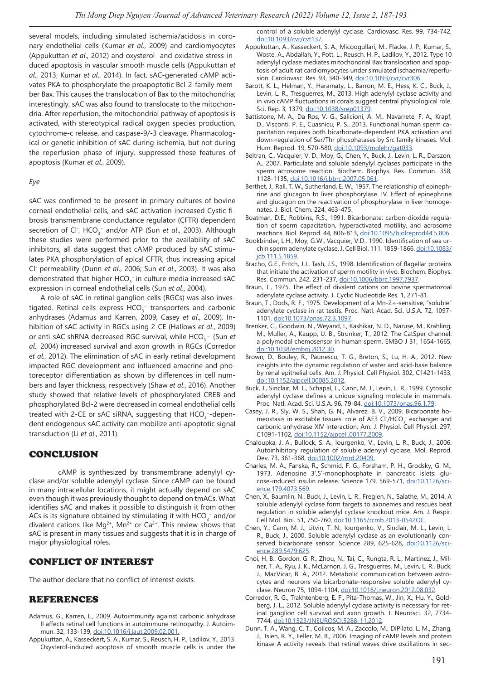several models, including simulated ischemia/acidosis in coronary endothelial cells (Kumar *et al*., 2009) and cardiomyocytes (Appukuttan *et al*., 2012) and oxysterol- and oxidative stress-induced apoptosis in vascular smooth muscle cells (Appukuttan *et al*., 2013; Kumar *et al*., 2014). In fact, sAC-generated cAMP activates PKA to phosphorylate the proapoptotic Bcl-2-family member Bax. This causes the translocation of Bax to the mitochondria; interestingly, sAC was also found to translocate to the mitochondria. After reperfusion, the mitochondrial pathway of apoptosis is activated, with stereotypical radical oxygen species production, cytochrome-c release, and caspase-9/-3 cleavage. Pharmacological or genetic inhibition of sAC during ischemia, but not during the reperfusion phase of injury, suppressed these features of apoptosis (Kumar *et al*., 2009).

### *Eye*

sAC was confirmed to be present in primary cultures of bovine corneal endothelial cells, and sAC activation increased Cystic fibrosis transmembrane conductance regulator (CFTR) dependent secretion of Cl<sup>-</sup>, HCO<sub>3</sub><sup>-</sup> and/or ATP (Sun *et al.*, 2003). Although these studies were performed prior to the availability of sAC inhibitors, all data suggest that cAMP produced by sAC stimulates PKA phosphorylation of apical CFTR, thus increasing apical Cl- permeability (Dunn *et al*., 2006; Sun *et al*., 2003). It was also demonstrated that higher  $HCO_3^-$  in culture media increased sAC expression in corneal endothelial cells (Sun *et al*., 2004).

A role of sAC in retinal ganglion cells (RGCs) was also investigated. Retinal cells express HCO<sub>3</sub><sup>-</sup> transporters and carbonic anhydrases (Adamus and Karren, 2009; Casey *et al*., 2009). Inhibition of sAC activity in RGCs using 2-CE (Hallows *et al*., 2009) or anti-sAC shRNA decreased RGC survival, while HCO<sub>3</sub>− (Sun *et al*., 2004) increased survival and axon growth in RGCs (Corredor *et al*., 2012). The elimination of sAC in early retinal development impacted RGC development and influenced amacrine and photoreceptor differentiation as shown by differences in cell numbers and layer thickness, respectively (Shaw *et al*., 2016). Another study showed that relative levels of phosphorylated CREB and phosphorylated Bcl-2 were decreased in corneal endothelial cells treated with 2-CE or sAC siRNA, suggesting that  $\mathsf{HCO}_{3}^{-1}$ -dependent endogenous sAC activity can mobilize anti-apoptotic signal transduction (Li *et al*., 2011).

## CONCLUSION

cAMP is synthesized by transmembrane adenylyl cyclase and/or soluble adenylyl cyclase. Since cAMP can be found in many intracellular locations, it might actually depend on sAC even though it was previously thought to depend on tmACs. What identifies sAC and makes it possible to distinguish it from other ACs is its signature obtained by stimulating it with HCO<sub>3</sub><sup>-</sup> and/or divalent cations like  $Mg^{2+}$ ,  $Mn^{2+}$  or Ca<sup>2+</sup>. This review shows that sAC is present in many tissues and suggests that it is in charge of major physiological roles.

## CONFLICT OF INTEREST

The author declare that no conflict of interest exists.

## REFERENCES

- Adamus, G., Karren, L., 2009. Autoimmunity against carbonic anhydrase II affects retinal cell functions in autoimmune retinopathy. J. Autoimmun. 32, 133-139, doi:10.1016/j.jaut.2009.02.001.
- Appukuttan, A., Kasseckert, S. A., Kumar, S., Reusch, H. P., Ladilov, Y., 2013. Oxysterol-induced apoptosis of smooth muscle cells is under the

control of a soluble adenylyl cyclase. Cardiovasc. Res. 99, 734-742, doi:10.1093/cvr/cvt137.

- Appukuttan, A., Kasseckert, S. A., Micoogullari, M., Flacke, J. P., Kumar, S., Woste, A., Abdallah, Y., Pott, L., Reusch, H. P., Ladilov, Y., 2012. Type 10 adenylyl cyclase mediates mitochondrial Bax translocation and apoptosis of adult rat cardiomyocytes under simulated ischaemia/reperfusion. Cardiovasc. Res. 93, 340-349, doi:10.1093/cvr/cvr306.
- Barott, K. L., Helman, Y., Haramaty, L., Barron, M. E., Hess, K. C., Buck, J., Levin, L. R., Tresguerres, M., 2013. High adenylyl cyclase activity and in vivo cAMP fluctuations in corals suggest central physiological role. Sci. Rep. 3, 1379, doi:10.1038/srep01379.
- Battistone, M. A., Da Ros, V. G., Salicioni, A. M., Navarrete, F. A., Krapf, D., Visconti, P. E., Cuasnicu, P. S., 2013. Functional human sperm capacitation requires both bicarbonate-dependent PKA activation and down-regulation of Ser/Thr phosphatases by Src family kinases. Mol. Hum. Reprod. 19, 570-580, doi:10.1093/molehr/gat033.
- Beltran, C., Vacquier, V. D., Moy, G., Chen, Y., Buck, J., Levin, L. R., Darszon, A., 2007. Particulate and soluble adenylyl cyclases participate in the sperm acrosome reaction. Biochem. Biophys. Res. Commun. 358, 1128-1135, doi:10.1016/j.bbrc.2007.05.061.
- Berthet, J., Rall, T. W., Sutherland, E. W., 1957. The relationship of epinephrine and glucagon to liver phosphorylase. IV. Effect of epinephrine and glucagon on the reactivation of phosphorylase in liver homogenates. J. Biol. Chem. 224, 463-475.
- Boatman, D.E., Robbins, R.S., 1991. Bicarbonate: carbon-dioxide regulation of sperm capacitation, hyperactivated motility, and acrosome reactions. Biol. Reprod. 44, 806-813, doi:10.1095/biolreprod44.5.806.
- Bookbinder, L.H., Moy, G.W., Vacquier, V.D., 1990. Identification of sea urchin sperm adenylate cyclase. J. Cell Biol. 111, 1859-1866, doi:10.1083/ jcb.111.5.1859.
- Bracho, G.E., Fritch, J.J., Tash, J.S., 1998. Identification of flagellar proteins that initiate the activation of sperm motility in vivo. Biochem. Biophys. Res. Commun. 242, 231-237, doi:10.1006/bbrc.1997.7937.
- Braun, T., 1975. The effect of divalent cations on bovine spermatozoal adenylate cyclase activity. J. Cyclic Nucleotide Res. 1, 271-81.
- Braun, T., Dods, R. F., 1975. Development of a Mn-2+-sensitive, "soluble" adenylate cyclase in rat testis. Proc. Natl. Acad. Sci. U.S.A. 72, 1097- 1101, doi:10.1073/pnas.72.3.1097.
- Brenker, C., Goodwin, N., Weyand, I., Kashikar, N. D., Naruse, M., Krahling, M., Muller, A., Kaupp, U. B., Strunker, T., 2012. The CatSper channel: a polymodal chemosensor in human sperm. EMBO J 31, 1654-1665, doi:10.1038/emboj.2012.30.
- Brown, D., Bouley, R., Paunescu, T. G., Breton, S., Lu, H. A., 2012. New insights into the dynamic regulation of water and acid-base balance by renal epithelial cells. Am. J. Physiol. Cell Physiol. 302, C1421-1433, doi:10.1152/ajpcell.00085.2012.
- Buck, J., Sinclair, M. L., Schapal, L., Cann, M. J., Levin, L. R., 1999. Cytosolic adenylyl cyclase defines a unique signaling molecule in mammals. Proc. Natl. Acad. Sci. U.S.A. 96, 79-84, doi:10.1073/pnas.96.1.79.
- Casey, J. R., Sly, W. S., Shah, G. N., Alvarez, B. V., 2009. Bicarbonate homeostasis in excitable tissues: role of AE3 Cl $\cdot$ /HCO<sub>3</sub> exchanger and carbonic anhydrase XIV interaction. Am. J. Physiol. Cell Physiol. 297, C1091-1102, doi:10.1152/ajpcell.00177.2009.
- Chaloupka, J. A., Bullock, S. A., Iourgenko, V., Levin, L. R., Buck, J., 2006. Autoinhibitory regulation of soluble adenylyl cyclase. Mol. Reprod. Dev. 73, 361-368, doi:10.1002/mrd.20409.
- Charles, M. A., Fanska, R., Schmid, F. G., Forsham, P. H., Grodsky, G. M., 1973. Adenosine 3',5'-monophosphate in pancreatic islets: glucose-induced insulin release. Science 179, 569-571, doi:10.1126/science.179.4073.569.
- Chen, X., Baumlin, N., Buck, J., Levin, L. R., Fregien, N., Salathe, M., 2014. A soluble adenylyl cyclase form targets to axonemes and rescues beat regulation in soluble adenylyl cyclase knockout mice. Am. J. Respir. Cell Mol. Biol. 51, 750-760, doi:10.1165/rcmb.2013-0542OC.
- Chen, Y., Cann, M. J., Litvin, T. N., Iourgenko, V., Sinclair, M. L., Levin, L. R., Buck, J., 2000. Soluble adenylyl cyclase as an evolutionarily conserved bicarbonate sensor. Science 289, 625-628, doi:10.1126/science.289.5479.625.
- Choi, H. B., Gordon, G. R., Zhou, N., Tai, C., Rungta, R. L., Martinez, J., Milner, T. A., Ryu, J. K., McLarnon, J. G., Tresguerres, M., Levin, L. R., Buck, J., MacVicar, B. A., 2012. Metabolic communication between astrocytes and neurons via bicarbonate-responsive soluble adenylyl cyclase. Neuron 75, 1094-1104, doi:10.1016/j.neuron.2012.08.032.
- Corredor, R. G., Trakhtenberg, E. F., Pita-Thomas, W., Jin, X., Hu, Y., Goldberg, J. L., 2012. Soluble adenylyl cyclase activity is necessary for retinal ganglion cell survival and axon growth. J. Neurosci. 32, 7734- 7744, doi:10.1523/JNEUROSCI.5288-11.2012.
- Dunn, T. A., Wang, C. T., Colicos, M. A., Zaccolo, M., DiPilato, L. M., Zhang, J., Tsien, R. Y., Feller, M. B., 2006. Imaging of cAMP levels and protein kinase A activity reveals that retinal waves drive oscillations in sec-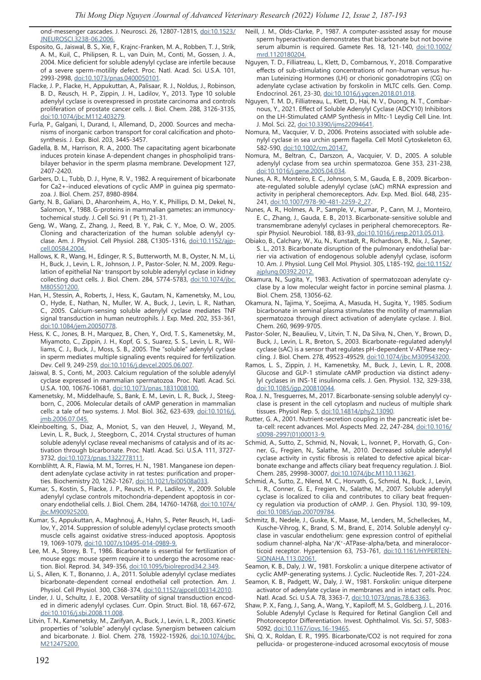ond-messenger cascades. J. Neurosci. 26, 12807-12815, doi:10.1523/ JNEUROSCI.3238-06.2006.

- Esposito, G., Jaiswal, B. S., Xie, F., Krajnc-Franken, M. A., Robben, T. J., Strik, A. M., Kuil, C., Philipsen, R. L., van Duin, M., Conti, M., Gossen, J. A., 2004. Mice deficient for soluble adenylyl cyclase are infertile because of a severe sperm-motility defect. Proc. Natl. Acad. Sci. U.S.A. 101, 2993-2998, doi:10.1073/pnas.0400050101.
- Flacke, J. P., Flacke, H., Appukuttan, A., Palisaar, R. J., Noldus, J., Robinson, B. D., Reusch, H. P., Zippin, J. H., Ladilov, Y., 2013. Type 10 soluble adenylyl cyclase is overexpressed in prostate carcinoma and controls proliferation of prostate cancer cells. J. Biol. Chem. 288, 3126-3135, doi:10.1074/jbc.M112.403279.
- Furla, P., Galgani, I., Durand, I., Allemand, D., 2000. Sources and mechanisms of inorganic carbon transport for coral calcification and photosynthesis. J. Exp. Biol. 203, 3445-3457.
- Gadella, B. M., Harrison, R. A., 2000. The capacitating agent bicarbonate induces protein kinase A-dependent changes in phospholipid transbilayer behavior in the sperm plasma membrane. Development 127, 2407-2420.
- Garbers, D. L., Tubb, D. J., Hyne, R. V., 1982. A requirement of bicarbonate for Ca2+-induced elevations of cyclic AMP in guinea pig spermatozoa. J. Biol. Chem. 257, 8980-8984.
- Garty, N. B., Galiani, D., Aharonheim, A., Ho, Y. K., Phillips, D. M., Dekel, N., Salomon, Y., 1988. G-proteins in mammalian gametes: an immunocytochemical study. J. Cell Sci. 91 ( Pt 1), 21-31.
- Geng, W., Wang, Z., Zhang, J., Reed, B. Y., Pak, C. Y., Moe, O. W., 2005. Cloning and characterization of the human soluble adenylyl cyclase. Am. J. Physiol. Cell Physiol. 288, C1305-1316, doi:10.1152/ajpcell.00584.2004.
- Hallows, K. R., Wang, H., Edinger, R. S., Butterworth, M. B., Oyster, N. M., Li, H., Buck, J., Levin, L. R., Johnson, J. P., Pastor-Soler, N. M., 2009. Regulation of epithelial Na<sup>+</sup> transport by soluble adenylyl cyclase in kidney collecting duct cells. J. Biol. Chem. 284, 5774-5783, doi:10.1074/jbc. M805501200.
- Han, H., Stessin, A., Roberts, J., Hess, K., Gautam, N., Kamenetsky, M., Lou, O., Hyde, E., Nathan, N., Muller, W. A., Buck, J., Levin, L. R., Nathan, C., 2005. Calcium-sensing soluble adenylyl cyclase mediates TNF signal transduction in human neutrophils. J. Exp. Med. 202, 353-361, doi:10.1084/jem.20050778.
- Hess, K. C., Jones, B. H., Marquez, B., Chen, Y., Ord, T. S., Kamenetsky, M., Miyamoto, C., Zippin, J. H., Kopf, G. S., Suarez, S. S., Levin, L. R., Williams, C. J., Buck, J., Moss, S. B., 2005. The "soluble" adenylyl cyclase in sperm mediates multiple signaling events required for fertilization. Dev. Cell 9, 249-259, doi:10.1016/j.devcel.2005.06.007.
- Jaiswal, B. S., Conti, M., 2003. Calcium regulation of the soluble adenylyl cyclase expressed in mammalian spermatozoa. Proc. Natl. Acad. Sci. U.S.A. 100, 10676-10681, doi:10.1073/pnas.1831008100.
- Kamenetsky, M., Middelhaufe, S., Bank, E. M., Levin, L. R., Buck, J., Steegborn, C., 2006. Molecular details of cAMP generation in mammalian cells: a tale of two systems. J. Mol. Biol. 362, 623-639, doi:10.1016/j. jmb.2006.07.045.
- Kleinboelting, S., Diaz, A., Moniot, S., van den Heuvel, J., Weyand, M., Levin, L. R., Buck, J., Steegborn, C., 2014. Crystal structures of human soluble adenylyl cyclase reveal mechanisms of catalysis and of its activation through bicarbonate. Proc. Natl. Acad. Sci. U.S.A. 111, 3727- 3732, doi:10.1073/pnas.1322778111.
- Kornblihtt, A. R., Flawia, M. M., Torres, H. N., 1981. Manganese ion dependent adenylate cyclase activity in rat testes: purification and properties. Biochemistry 20, 1262-1267, doi:10.1021/bi00508a033.
- Kumar, S., Kostin, S., Flacke, J. P., Reusch, H. P., Ladilov, Y., 2009. Soluble adenylyl cyclase controls mitochondria-dependent apoptosis in coronary endothelial cells. J. Biol. Chem. 284, 14760-14768, doi:10.1074/ jbc.M900925200.
- Kumar, S., Appukuttan, A., Maghnouj, A., Hahn, S., Peter Reusch, H., Ladilov, Y., 2014. Suppression of soluble adenylyl cyclase protects smooth muscle cells against oxidative stress-induced apoptosis. Apoptosis 19, 1069-1079, doi:10.1007/s10495-014-0989-9.
- Lee, M. A., Storey, B. T., 1986. Bicarbonate is essential for fertilization of mouse eggs: mouse sperm require it to undergo the acrosome reaction. Biol. Reprod. 34, 349-356, doi:10.1095/biolreprod34.2.349.
- Li, S., Allen, K. T., Bonanno, J. A., 2011. Soluble adenylyl cyclase mediates bicarbonate-dependent corneal endothelial cell protection. Am. J. Physiol. Cell Physiol. 300, C368-374, doi:10.1152/ajpcell.00314.2010.
- Linder, J. U., Schultz, J. E., 2008. Versatility of signal transduction encoded in dimeric adenylyl cyclases. Curr. Opin. Struct. Biol. 18, 667-672, doi:10.1016/j.sbi.2008.11.008.
- Litvin, T. N., Kamenetsky, M., Zarifyan, A., Buck, J., Levin, L. R., 2003. Kinetic properties of "soluble" adenylyl cyclase. Synergism between calcium and bicarbonate. J. Biol. Chem. 278, 15922-15926, doi:10.1074/jbc. M212475200.
- Neill, J. M., Olds-Clarke, P., 1987. A computer-assisted assay for mouse sperm hyperactivation demonstrates that bicarbonate but not bovine serum albumin is required. Gamete Res. 18, 121-140, doi:10.1002/ mrd.1120180204.
- Nguyen, T. D., Filliatreau, L., Klett, D., Combarnous, Y., 2018. Comparative effects of sub-stimulating concentrations of non-human versus human Luteinizing Hormones (LH) or chorionic gonadotropins (CG) on adenylate cyclase activation by forskolin in MLTC cells. Gen. Comp. Endocrinol. 261, 23-30, doi:10.1016/j.ygcen.2018.01.018.
- Nguyen, T. M. D., Filliatreau, L., Klett, D., Hai, N. V., Duong, N. T., Combarnous, Y., 2021. Effect of Soluble Adenylyl Cyclase (ADCY10) Inhibitors on the LH-Stimulated cAMP Synthesis in Mltc-1 Leydig Cell Line. Int. J. Mol. Sci. 22, doi:10.3390/ijms22094641.
- Nomura, M., Vacquier, V. D., 2006. Proteins associated with soluble adenylyl cyclase in sea urchin sperm flagella. Cell Motil Cytoskeleton 63, 582-590, doi:10.1002/cm.20147.
- Nomura, M., Beltran, C., Darszon, A., Vacquier, V. D., 2005. A soluble adenylyl cyclase from sea urchin spermatozoa. Gene 353, 231-238, doi:10.1016/j.gene.2005.04.034.
- Nunes, A. R., Monteiro, E. C., Johnson, S. M., Gauda, E. B., 2009. Bicarbonate-regulated soluble adenylyl cyclase (sAC) mRNA expression and activity in peripheral chemoreceptors. Adv. Exp. Med. Biol. 648, 235- 241, doi:10.1007/978-90-481-2259-2\_27.
- Nunes, A. R., Holmes, A. P., Sample, V., Kumar, P., Cann, M. J., Monteiro, E. C., Zhang, J., Gauda, E. B., 2013. Bicarbonate-sensitive soluble and transmembrane adenylyl cyclases in peripheral chemoreceptors. Respir Physiol. Neurobiol. 188, 83-93, doi:10.1016/j.resp.2013.05.013.
- Obiako, B., Calchary, W., Xu, N., Kunstadt, R., Richardson, B., Nix, J., Sayner, S. L., 2013. Bicarbonate disruption of the pulmonary endothelial barrier via activation of endogenous soluble adenylyl cyclase, isoform 10. Am. J. Physiol. Lung Cell Mol. Physiol. 305, L185-192, doi:10.1152/ ajplung.00392.2012.
- Okamura, N., Sugita, Y., 1983. Activation of spermatozoan adenylate cyclase by a low molecular weight factor in porcine seminal plasma. J. Biol. Chem. 258, 13056-62.
- Okamura, N., Tajima, Y., Soejima, A., Masuda, H., Sugita, Y., 1985. Sodium bicarbonate in seminal plasma stimulates the motility of mammalian spermatozoa through direct activation of adenylate cyclase. J. Biol. Chem. 260, 9699-9705.
- Pastor-Soler, N., Beaulieu, V., Litvin, T. N., Da Silva, N., Chen, Y., Brown, D., Buck, J., Levin, L. R., Breton, S., 2003. Bicarbonate-regulated adenylyl cyclase (sAC) is a sensor that regulates pH-dependent V-ATPase recycling. J. Biol. Chem. 278, 49523-49529, doi:10.1074/jbc.M309543200.
- Ramos, L. S., Zippin, J. H., Kamenetsky, M., Buck, J., Levin, L. R., 2008. Glucose and GLP-1 stimulate cAMP production via distinct adenylyl cyclases in INS-1E insulinoma cells. J. Gen. Physiol. 132, 329-338, doi:10.1085/jgp.200810044.
- Roa, J. N., Tresguerres, M., 2017. Bicarbonate-sensing soluble adenylyl cyclase is present in the cell cytoplasm and nucleus of multiple shark tissues. Physiol Rep. 5, doi:10.14814/phy2.13090.
- Rutter, G. A., 2001. Nutrient-secretion coupling in the pancreatic islet beta-cell: recent advances. Mol. Aspects Med. 22, 247-284, doi:10.1016/ s0098-2997(01)00013-9.
- Schmid, A., Sutto, Z., Schmid, N., Novak, L., Ivonnet, P., Horvath, G., Conner, G., Fregien, N., Salathe, M., 2010. Decreased soluble adenylyl cyclase activity in cystic fibrosis is related to defective apical bicarbonate exchange and affects ciliary beat frequency regulation. J. Biol. Chem. 285, 29998-30007, doi:10.1074/jbc.M110.113621.
- Schmid, A., Sutto, Z., Nlend, M. C., Horvath, G., Schmid, N., Buck, J., Levin, L. R., Conner, G. E., Fregien, N., Salathe, M., 2007. Soluble adenylyl cyclase is localized to cilia and contributes to ciliary beat frequency regulation via production of cAMP. J. Gen. Physiol. 130, 99-109, doi:10.1085/jgp.200709784.
- Schmitz, B., Nedele, J., Guske, K., Maase, M., Lenders, M., Schelleckes, M., Kusche-Vihrog, K., Brand, S. M., Brand, E., 2014. Soluble adenylyl cyclase in vascular endothelium: gene expression control of epithelial sodium channel-alpha, Na+/K+-ATPase-alpha/beta, and mineralocorticoid receptor. Hypertension 63, 753-761, doi:10.1161/HYPERTEN-SIONAHA.113.02061.
- Seamon, K. B., Daly, J. W., 1981. Forskolin: a unique diterpene activator of cyclic AMP-generating systems. J. Cyclic. Nucleotide Res. 7, 201-224.
- Seamon, K. B., Padgett, W., Daly, J. W., 1981. Forskolin: unique diterpene activator of adenylate cyclase in membranes and in intact cells. Proc. Natl. Acad. Sci. U.S.A. 78, 3363-7, doi:10.1073/pnas.78.6.3363.
- Shaw, P. X., Fang, J., Sang, A., Wang, Y., Kapiloff, M. S., Goldberg, J. L., 2016. Soluble Adenylyl Cyclase Is Required for Retinal Ganglion Cell and Photoreceptor Differentiation. Invest. Ophthalmol. Vis. Sci. 57, 5083- 5092, doi:10.1167/iovs.16-19465.
- Shi, Q. X., Roldan, E. R., 1995. Bicarbonate/CO2 is not required for zona pellucida- or progesterone-induced acrosomal exocytosis of mouse